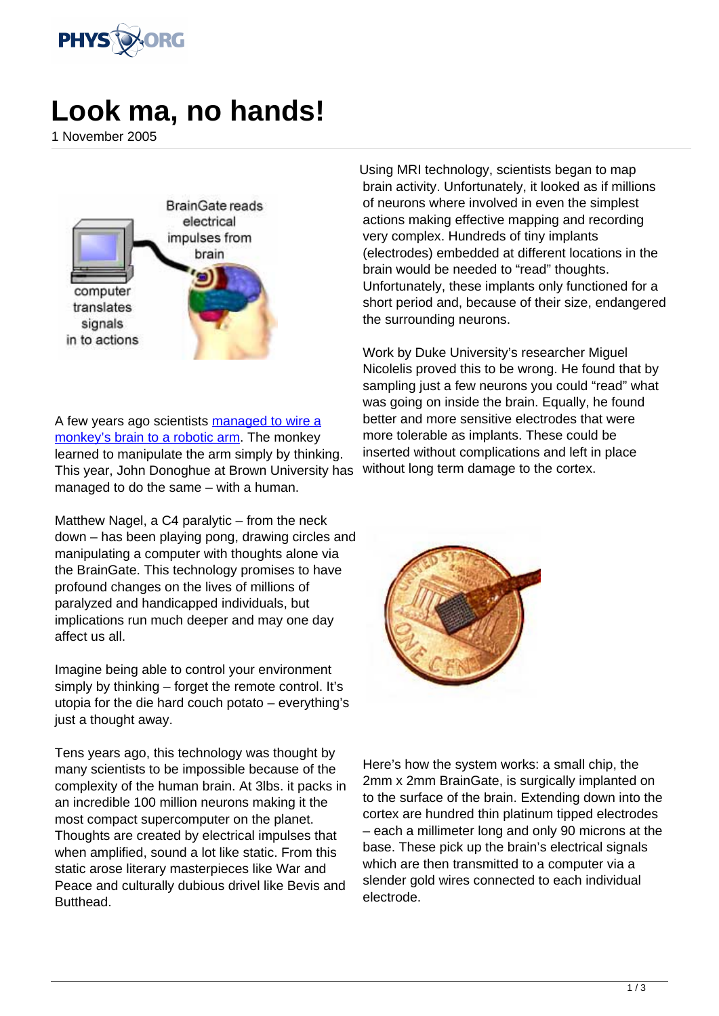

## **Look ma, no hands!**

1 November 2005



A few years ago scientists [managed to wire a](http://web.mit.edu/newsoffice/2000/monkeys-1206.html) [monkey's brain to a robotic arm.](http://web.mit.edu/newsoffice/2000/monkeys-1206.html) The monkey learned to manipulate the arm simply by thinking. This year, John Donoghue at Brown University has managed to do the same – with a human.

Matthew Nagel, a C4 paralytic – from the neck down – has been playing pong, drawing circles and manipulating a computer with thoughts alone via the BrainGate. This technology promises to have profound changes on the lives of millions of paralyzed and handicapped individuals, but implications run much deeper and may one day affect us all.

Imagine being able to control your environment simply by thinking – forget the remote control. It's utopia for the die hard couch potato – everything's just a thought away.

Tens years ago, this technology was thought by many scientists to be impossible because of the complexity of the human brain. At 3lbs. it packs in an incredible 100 million neurons making it the most compact supercomputer on the planet. Thoughts are created by electrical impulses that when amplified, sound a lot like static. From this static arose literary masterpieces like War and Peace and culturally dubious drivel like Bevis and **Butthead.** 

Using MRI technology, scientists began to map brain activity. Unfortunately, it looked as if millions of neurons where involved in even the simplest actions making effective mapping and recording very complex. Hundreds of tiny implants (electrodes) embedded at different locations in the brain would be needed to "read" thoughts. Unfortunately, these implants only functioned for a short period and, because of their size, endangered the surrounding neurons.

Work by Duke University's researcher Miguel Nicolelis proved this to be wrong. He found that by sampling just a few neurons you could "read" what was going on inside the brain. Equally, he found better and more sensitive electrodes that were more tolerable as implants. These could be inserted without complications and left in place without long term damage to the cortex.



Here's how the system works: a small chip, the 2mm x 2mm BrainGate, is surgically implanted on to the surface of the brain. Extending down into the cortex are hundred thin platinum tipped electrodes – each a millimeter long and only 90 microns at the base. These pick up the brain's electrical signals which are then transmitted to a computer via a slender gold wires connected to each individual electrode.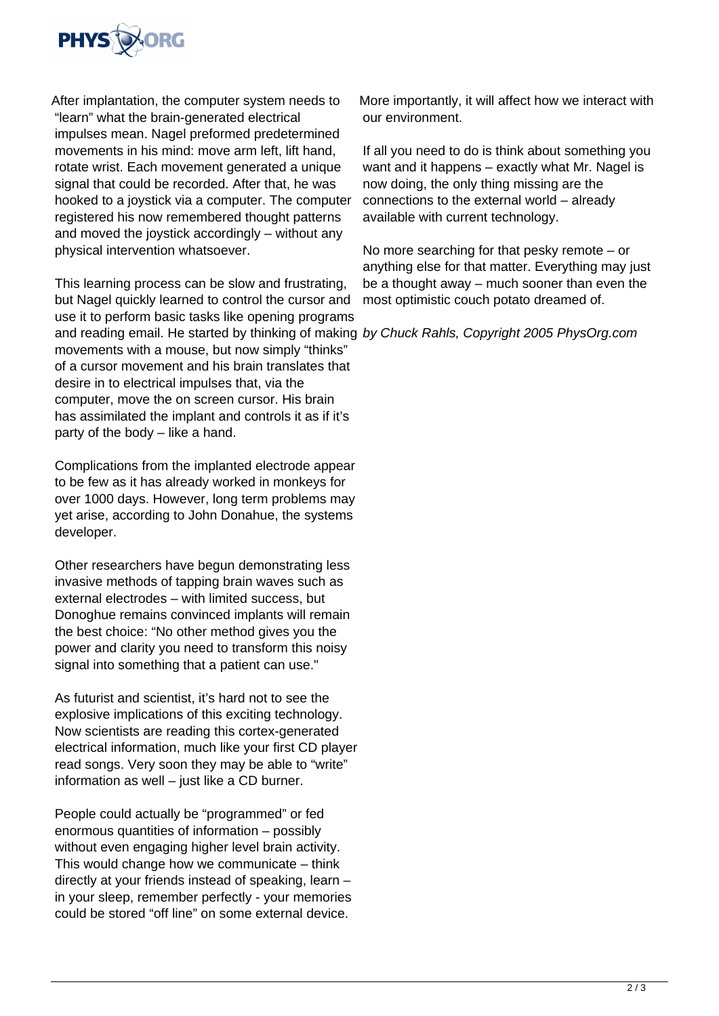

After implantation, the computer system needs to "learn" what the brain-generated electrical impulses mean. Nagel preformed predetermined movements in his mind: move arm left, lift hand, rotate wrist. Each movement generated a unique signal that could be recorded. After that, he was hooked to a joystick via a computer. The computer registered his now remembered thought patterns and moved the joystick accordingly – without any physical intervention whatsoever.

This learning process can be slow and frustrating, but Nagel quickly learned to control the cursor and use it to perform basic tasks like opening programs and reading email. He started by thinking of making by Chuck Rahls, Copyright 2005 PhysOrg.com movements with a mouse, but now simply "thinks" of a cursor movement and his brain translates that desire in to electrical impulses that, via the computer, move the on screen cursor. His brain has assimilated the implant and controls it as if it's party of the body – like a hand.

Complications from the implanted electrode appear to be few as it has already worked in monkeys for over 1000 days. However, long term problems may yet arise, according to John Donahue, the systems developer.

Other researchers have begun demonstrating less invasive methods of tapping brain waves such as external electrodes – with limited success, but Donoghue remains convinced implants will remain the best choice: "No other method gives you the power and clarity you need to transform this noisy signal into something that a patient can use."

As futurist and scientist, it's hard not to see the explosive implications of this exciting technology. Now scientists are reading this cortex-generated electrical information, much like your first CD player read songs. Very soon they may be able to "write" information as well – just like a CD burner.

People could actually be "programmed" or fed enormous quantities of information – possibly without even engaging higher level brain activity. This would change how we communicate – think directly at your friends instead of speaking, learn – in your sleep, remember perfectly - your memories could be stored "off line" on some external device.

More importantly, it will affect how we interact with our environment.

If all you need to do is think about something you want and it happens – exactly what Mr. Nagel is now doing, the only thing missing are the connections to the external world – already available with current technology.

No more searching for that pesky remote – or anything else for that matter. Everything may just be a thought away – much sooner than even the most optimistic couch potato dreamed of.